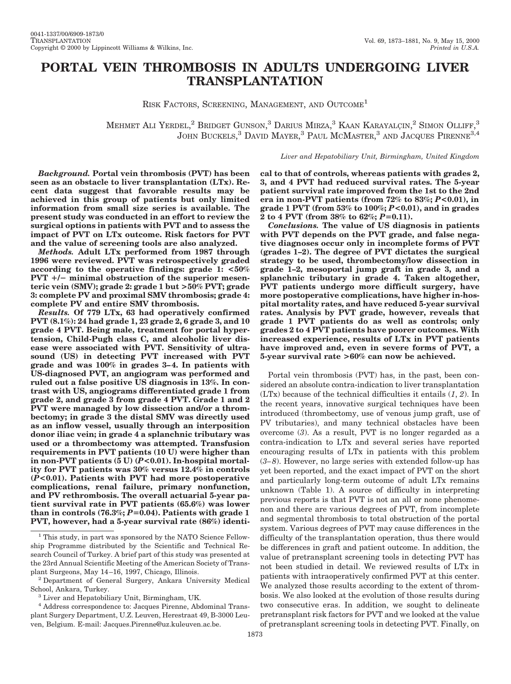# **PORTAL VEIN THROMBOSIS IN ADULTS UNDERGOING LIVER TRANSPLANTATION**

RISK FACTORS, SCREENING, MANAGEMENT, AND OUTCOME<sup>1</sup>

MEHMET ALI YERDEL,<sup>2</sup> BRIDGET GUNSON,<sup>3</sup> DARIUS MIRZA,<sup>3</sup> KAAN KARAYALÇIN,<sup>2</sup> SIMON OLLIFF,<sup>3</sup> JOHN BUCKELS, $^3$  David Mayer, $^3$  Paul McMaster, $^3$  and Jacques Pirenne $^{3,4}$ 

#### *Liver and Hepatobiliary Unit, Birmingham, United Kingdom*

*Background.* **Portal vein thrombosis (PVT) has been seen as an obstacle to liver transplantation (LTx). Recent data suggest that favorable results may be achieved in this group of patients but only limited information from small size series is available. The present study was conducted in an effort to review the surgical options in patients with PVT and to assess the impact of PVT on LTx outcome. Risk factors for PVT and the value of screening tools are also analyzed.**

*Methods.* **Adult LTx performed from 1987 through 1996 were reviewed. PVT was retrospectively graded according to the operative findings: grade 1: <50%** PVT  $+/-$  minimal obstruction of the superior mesen**teric vein (SMV); grade 2: grade 1 but >50% PVT; grade 3: complete PV and proximal SMV thrombosis; grade 4: complete PV and entire SMV thrombosis.**

*Results.* **Of 779 LTx, 63 had operatively confirmed PVT (8.1%): 24 had grade 1, 23 grade 2, 6 grade 3, and 10 grade 4 PVT. Being male, treatment for portal hypertension, Child-Pugh class C, and alcoholic liver disease were associated with PVT. Sensitivity of ultrasound (US) in detecting PVT increased with PVT grade and was 100% in grades 3–4. In patients with US-diagnosed PVT, an angiogram was performed and ruled out a false positive US diagnosis in 13%. In contrast with US, angiograms differentiated grade 1 from grade 2, and grade 3 from grade 4 PVT. Grade 1 and 2 PVT were managed by low dissection and/or a thrombectomy; in grade 3 the distal SMV was directly used as an inflow vessel, usually through an interposition donor iliac vein; in grade 4 a splanchnic tributary was used or a thrombectomy was attempted. Transfusion requirements in PVT patients (10 U) were higher than in non-PVT patients (5 U) (***P***<0.01). In-hospital mortality for PVT patients was 30% versus 12.4% in controls (***P***<0.01). Patients with PVT had more postoperative complications, renal failure, primary nonfunction, and PV rethrombosis. The overall actuarial 5-year patient survival rate in PVT patients (65.6%) was lower** than in controls  $(76.3\%; P=0.04)$ . Patients with grade 1 **PVT, however, had a 5-year survival rate (86%) identi-** **cal to that of controls, whereas patients with grades 2, 3, and 4 PVT had reduced survival rates. The 5-year patient survival rate improved from the 1st to the 2nd era in non-PVT patients (from 72% to 83%;** *P***<0.01), in grade 1 PVT (from 53% to 100%;** *P***<0.01), and in grades 2 to 4 PVT** (from  $38\%$  to  $62\%; P=0.11$ ).

*Conclusions.* **The value of US diagnosis in patients with PVT depends on the PVT grade, and false negative diagnoses occur only in incomplete forms of PVT (grades 1–2). The degree of PVT dictates the surgical strategy to be used, thrombectomy/low dissection in grade 1–2, mesoportal jump graft in grade 3, and a splanchnic tributary in grade 4. Taken altogether, PVT patients undergo more difficult surgery, have more postoperative complications, have higher in-hospital mortality rates, and have reduced 5-year survival rates. Analysis by PVT grade, however, reveals that grade 1 PVT patients do as well as controls; only grades 2 to 4 PVT patients have poorer outcomes. With increased experience, results of LTx in PVT patients have improved and, even in severe forms of PVT, a 5-year survival rate >60% can now be achieved.**

Portal vein thrombosis (PVT) has, in the past, been considered an absolute contra-indication to liver transplantation (LTx) because of the technical difficulties it entails (*1*, *2*). In the recent years, innovative surgical techniques have been introduced (thrombectomy, use of venous jump graft, use of PV tributaries), and many technical obstacles have been overcome (*3*). As a result, PVT is no longer regarded as a contra-indication to LTx and several series have reported encouraging results of LTx in patients with this problem (*3–8*). However, no large series with extended follow-up has yet been reported, and the exact impact of PVT on the short and particularly long-term outcome of adult LTx remains unknown (Table 1). A source of difficulty in interpreting previous reports is that PVT is not an all or none phenomenon and there are various degrees of PVT, from incomplete and segmental thrombosis to total obstruction of the portal system. Various degrees of PVT may cause differences in the difficulty of the transplantation operation, thus there would be differences in graft and patient outcome. In addition, the value of pretransplant screening tools in detecting PVT has not been studied in detail. We reviewed results of LTx in patients with intraoperatively confirmed PVT at this center. We analyzed those results according to the extent of thrombosis. We also looked at the evolution of those results during two consecutive eras. In addition, we sought to delineate pretransplant risk factors for PVT and we looked at the value of pretransplant screening tools in detecting PVT. Finally, on

<sup>1</sup> This study, in part was sponsored by the NATO Science Fellowship Programme distributed by the Scientific and Technical Research Council of Turkey. A brief part of this study was presented at the 23rd Annual Scientific Meeting of the American Society of Transplant Surgeons, May 14–16, 1997, Chicago, Illinois.

<sup>2</sup> Department of General Surgery, Ankara University Medical School, Ankara, Turkey.

<sup>3</sup> Liver and Hepatobiliary Unit, Birmingham, UK.

<sup>4</sup> Address correspondence to: Jacques Pirenne, Abdominal Transplant Surgery Department, U.Z. Leuven, Herestraat 49, B-3000 Leuven, Belgium. E-mail: Jacques.Pirenne@uz.kuleuven.ac.be.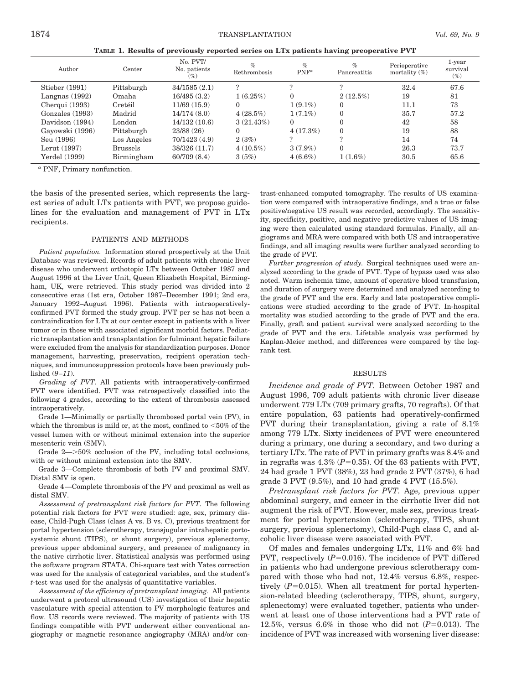**TABLE 1. Results of previously reported series on LTx patients having preoperative PVT**

| Author           | Center          | No. PVT/<br>No. patients<br>(9) | $\%$<br>Rethrombosis | $\%$<br>$PNF^a$ | $\%$<br>Pancreatitis | Perioperative<br>mortality $(\%)$ | 1-year<br>survival<br>$(\%)$ |
|------------------|-----------------|---------------------------------|----------------------|-----------------|----------------------|-----------------------------------|------------------------------|
| Stieber (1991)   | Pittsburgh      | 34/1585(2.1)                    | ?                    |                 |                      | 32.4                              | 67.6                         |
| Langnas $(1992)$ | Omaha           | 16/495(3.2)                     | $1(6.25\%)$          | 0               | $2(12.5\%)$          | 19                                | 81                           |
| Cherqui $(1993)$ | Cretéil         | 11/69(15.9)                     | $\Omega$             | $1(9.1\%)$      | $\Omega$             | 11.1                              | 73                           |
| Gonzales (1993)  | Madrid          | 14/174(8.0)                     | $4(28.5\%)$          | $1(7.1\%)$      | $\theta$             | 35.7                              | 57.2                         |
| Davidson (1994)  | London          | 14/132(10.6)                    | 3(21.43%)            | 0               | $\theta$             | 42                                | 58                           |
| Gayowski (1996)  | Pittsburgh      | 23/88(26)                       | $\Omega$             | $4(17.3\%)$     | $\theta$             | 19                                | 88                           |
| Seu (1996)       | Los Angeles     | 70/1423(4.9)                    | 2(3%)                |                 | $\Omega$             | 14                                | 74                           |
| Lerut (1997)     | <b>Brussels</b> | 38/326 (11.7)                   | $4(10.5\%)$          | $3(7.9\%)$      | $\Omega$             | 26.3                              | 73.7                         |
| Yerdel (1999)    | Birmingham      | 60/709(8.4)                     | 3(5%)                | $4(6.6\%)$      | $1(1.6\%)$           | 30.5                              | 65.6                         |
|                  |                 |                                 |                      |                 |                      |                                   |                              |

*<sup>a</sup>* PNF, Primary nonfunction.

the basis of the presented series, which represents the largest series of adult LTx patients with PVT, we propose guidelines for the evaluation and management of PVT in LTx recipients.

#### PATIENTS AND METHODS

*Patient population.* Information stored prospectively at the Unit Database was reviewed. Records of adult patients with chronic liver disease who underwent orthotopic LTx between October 1987 and August 1996 at the Liver Unit, Queen Elizabeth Hospital, Birmingham, UK, were retrieved. This study period was divided into 2 consecutive eras (1st era, October 1987–December 1991; 2nd era, January 1992–August 1996). Patients with intraoperativelyconfirmed PVT formed the study group. PVT per se has not been a contraindication for LTx at our center except in patients with a liver tumor or in those with associated significant morbid factors. Pediatric transplantation and transplantation for fulminant hepatic failure were excluded from the analysis for standardization purposes. Donor management, harvesting, preservation, recipient operation techniques, and immunosuppression protocols have been previously published (*9–11*).

*Grading of PVT.* All patients with intraoperatively-confirmed PVT were identified. PVT was retrospectively classified into the following 4 grades, according to the extent of thrombosis assessed intraoperatively.

Grade 1—Minimally or partially thrombosed portal vein (PV), in which the thrombus is mild or, at the most, confined to  $<50\%$  of the vessel lumen with or without minimal extension into the superior mesenteric vein (SMV).

Grade  $2 \rightarrow 50\%$  occlusion of the PV, including total occlusions, with or without minimal extension into the SMV.

Grade 3—Complete thrombosis of both PV and proximal SMV. Distal SMV is open.

Grade 4—Complete thrombosis of the PV and proximal as well as distal SMV.

*Assessment of pretransplant risk factors for PVT.* The following potential risk factors for PVT were studied: age, sex, primary disease, Child-Pugh Class (class A vs. B vs. C), previous treatment for portal hypertension (sclerotherapy, transjugular intrahepatic portosystemic shunt (TIPS), or shunt surgery), previous splenectomy, previous upper abdominal surgery, and presence of malignancy in the native cirrhotic liver. Statistical analysis was performed using the software program STATA. Chi-square test with Yates correction was used for the analysis of categorical variables, and the student's *t*-test was used for the analysis of quantitative variables.

*Assessment of the efficiency of pretransplant imaging.* All patients underwent a protocol ultrasound (US) investigation of their hepatic vasculature with special attention to PV morphologic features and flow. US records were reviewed. The majority of patients with US findings compatible with PVT underwent either conventional angiography or magnetic resonance angiography (MRA) and/or contrast-enhanced computed tomography. The results of US examination were compared with intraoperative findings, and a true or false positive/negative US result was recorded, accordingly. The sensitivity, specificity, positive, and negative predictive values of US imaging were then calculated using standard formulas. Finally, all angiograms and MRA were compared with both US and intraoperative findings, and all imaging results were further analyzed according to the grade of PVT.

*Further progression of study.* Surgical techniques used were analyzed according to the grade of PVT. Type of bypass used was also noted. Warm ischemia time, amount of operative blood transfusion, and duration of surgery were determined and analyzed according to the grade of PVT and the era. Early and late postoperative complications were studied according to the grade of PVT. In-hospital mortality was studied according to the grade of PVT and the era. Finally, graft and patient survival were analyzed according to the grade of PVT and the era. Lifetable analysis was performed by Kaplan-Meier method, and differences were compared by the logrank test.

## RESULTS

*Incidence and grade of PVT.* Between October 1987 and August 1996, 709 adult patients with chronic liver disease underwent 779 LTx (709 primary grafts, 70 regrafts). Of that entire population, 63 patients had operatively-confirmed PVT during their transplantation, giving a rate of 8.1% among 779 LTx. Sixty incidences of PVT were encountered during a primary, one during a secondary, and two during a tertiary LTx. The rate of PVT in primary grafts was 8.4% and in regrafts was  $4.3\%$  ( $P=0.35$ ). Of the 63 patients with PVT, 24 had grade 1 PVT (38%), 23 had grade 2 PVT (37%), 6 had grade 3 PVT (9.5%), and 10 had grade 4 PVT (15.5%).

*Pretransplant risk factors for PVT.* Age, previous upper abdominal surgery, and cancer in the cirrhotic liver did not augment the risk of PVT. However, male sex, previous treatment for portal hypertension (sclerotherapy, TIPS, shunt surgery, previous splenectomy), Child-Pugh class C, and alcoholic liver disease were associated with PVT.

Of males and females undergoing LTx, 11% and 6% had PVT, respectively  $(P=0.016)$ . The incidence of PVT differed in patients who had undergone previous sclerotherapy compared with those who had not, 12.4% versus 6.8%, respectively  $(P=0.015)$ . When all treatment for portal hypertension-related bleeding (sclerotherapy, TIPS, shunt, surgery, splenectomy) were evaluated together, patients who underwent at least one of those interventions had a PVT rate of 12.5%, versus  $6.6\%$  in those who did not  $(P=0.013)$ . The incidence of PVT was increased with worsening liver disease: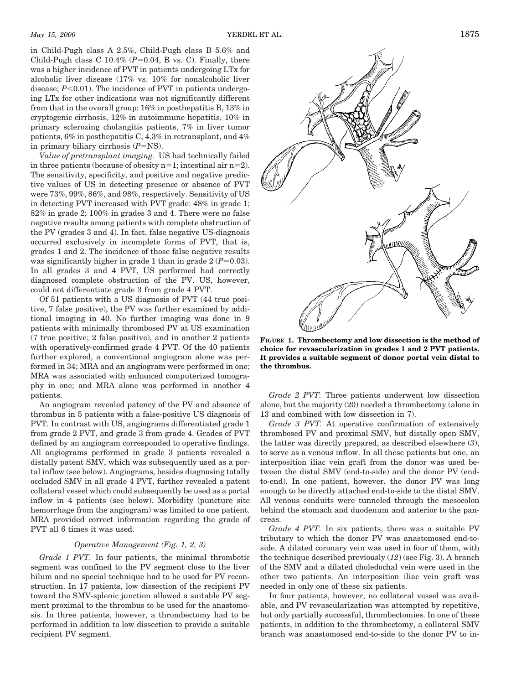in Child-Pugh class A 2.5%, Child-Pugh class B 5.6% and Child-Pugh class C  $10.4\%$  ( $P=0.04$ , B vs. C). Finally, there was a higher incidence of PVT in patients undergoing LTx for alcoholic liver disease (17% vs. 10% for nonalcoholic liver disease;  $P<0.01$ ). The incidence of PVT in patients undergoing LTx for other indications was not significantly different from that in the overall group: 16% in posthepatitis B, 13% in cryptogenic cirrhosis, 12% in autoimmune hepatitis, 10% in primary sclerozing cholangitis patients, 7% in liver tumor patients, 6% in posthepatitis C, 4.3% in retransplant, and 4% in primary biliary cirrhosis  $(P=NS)$ .

*Value of pretransplant imaging.* US had technically failed in three patients (because of obesity  $n=1$ ; intestinal air  $n=2$ ). The sensitivity, specificity, and positive and negative predictive values of US in detecting presence or absence of PVT were 73%, 99%, 86%, and 98%, respectively. Sensitivity of US in detecting PVT increased with PVT grade: 48% in grade 1; 82% in grade 2; 100% in grades 3 and 4. There were no false negative results among patients with complete obstruction of the PV (grades 3 and 4). In fact, false negative US-diagnosis occurred exclusively in incomplete forms of PVT, that is, grades 1 and 2. The incidence of those false negative results was significantly higher in grade 1 than in grade  $2 (P=0.03)$ . In all grades 3 and 4 PVT, US performed had correctly diagnosed complete obstruction of the PV. US, however, could not differentiate grade 3 from grade 4 PVT.

Of 51 patients with a US diagnosis of PVT (44 true positive, 7 false positive), the PV was further examined by additional imaging in 40. No further imaging was done in 9 patients with minimally thrombosed PV at US examination (7 true positive; 2 false positive), and in another 2 patients with operatively-confirmed grade 4 PVT. Of the 40 patients further explored, a conventional angiogram alone was performed in 34; MRA and an angiogram were performed in one; MRA was associated with enhanced computerized tomography in one; and MRA alone was performed in another 4 patients.

An angiogram revealed patency of the PV and absence of thrombus in 5 patients with a false-positive US diagnosis of PVT. In contrast with US, angiograms differentiated grade 1 from grade 2 PVT, and grade 3 from grade 4. Grades of PVT defined by an angiogram corresponded to operative findings. All angiograms performed in grade 3 patients revealed a distally patent SMV, which was subsequently used as a portal inflow (see below). Angiograms, besides diagnosing totally occluded SMV in all grade 4 PVT, further revealed a patent collateral vessel which could subsequently be used as a portal inflow in 4 patients (see below). Morbidity (puncture site hemorrhage from the angiogram) was limited to one patient. MRA provided correct information regarding the grade of PVT all 6 times it was used.

### *Operative Management (Fig. 1, 2, 3)*

*Grade 1 PVT.* In four patients, the minimal thrombotic segment was confined to the PV segment close to the liver hilum and no special technique had to be used for PV reconstruction. In 17 patients, low dissection of the recipient PV toward the SMV-splenic junction allowed a suitable PV segment proximal to the thrombus to be used for the anastomosis. In three patients, however, a thrombectomy had to be performed in addition to low dissection to provide a suitable recipient PV segment.



**FIGURE 1. Thrombectomy and low dissection is the method of choice for revascularization in grades 1 and 2 PVT patients. It provides a suitable segment of donor portal vein distal to the thrombus.**

*Grade 2 PVT.* Three patients underwent low dissection alone, but the majority (20) needed a thrombectomy (alone in 13 and combined with low dissection in 7).

*Grade 3 PVT.* At operative confirmation of extensively thrombosed PV and proximal SMV, but distally open SMV, the latter was directly prepared, as described elsewhere (*3*), to serve as a venous inflow. In all these patients but one, an interposition iliac vein graft from the donor was used between the distal SMV (end-to-side) and the donor PV (endto-end). In one patient, however, the donor PV was long enough to be directly attached end-to-side to the distal SMV. All venous conduits were tunneled through the mesocolon behind the stomach and duodenum and anterior to the pancreas.

*Grade 4 PVT.* In six patients, there was a suitable PV tributary to which the donor PV was anastomosed end-toside. A dilated coronary vein was used in four of them, with the technique described previously (*12*) (see Fig. 3). A branch of the SMV and a dilated choledochal vein were used in the other two patients. An interposition iliac vein graft was needed in only one of these six patients.

In four patients, however, no collateral vessel was available, and PV revascularization was attempted by repetitive, but only partially successful, thrombectomies. In one of these patients, in addition to the thrombectomy, a collateral SMV branch was anastomosed end-to-side to the donor PV to in-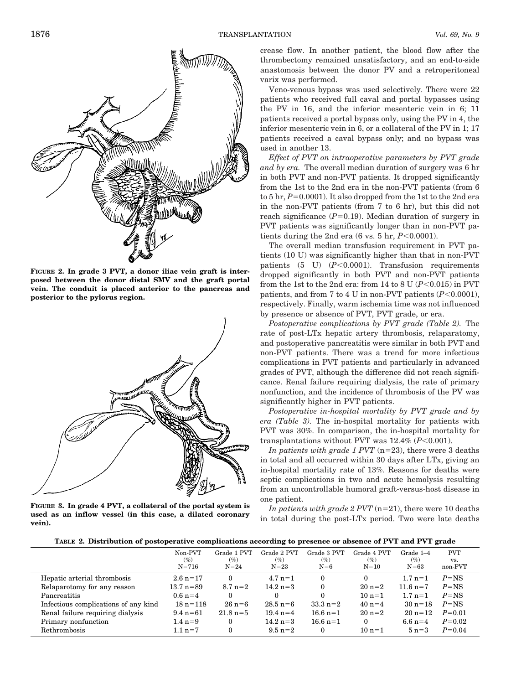

**FIGURE 2. In grade 3 PVT, a donor iliac vein graft is interposed between the donor distal SMV and the graft portal vein. The conduit is placed anterior to the pancreas and posterior to the pylorus region.**



**FIGURE 3. In grade 4 PVT, a collateral of the portal system is used as an inflow vessel (in this case, a dilated coronary vein).**

crease flow. In another patient, the blood flow after the thrombectomy remained unsatisfactory, and an end-to-side anastomosis between the donor PV and a retroperitoneal varix was performed.

Veno-venous bypass was used selectively. There were 22 patients who received full caval and portal bypasses using the PV in 16, and the inferior mesenteric vein in 6; 11 patients received a portal bypass only, using the PV in 4, the inferior mesenteric vein in 6, or a collateral of the PV in 1; 17 patients received a caval bypass only; and no bypass was used in another 13.

*Effect of PVT on intraoperative parameters by PVT grade and by era.* The overall median duration of surgery was 6 hr in both PVT and non-PVT patients. It dropped significantly from the 1st to the 2nd era in the non-PVT patients (from 6 to  $5 \text{ hr}, P=0.0001$ ). It also dropped from the 1st to the 2nd era in the non-PVT patients (from 7 to 6 hr), but this did not reach significance  $(P=0.19)$ . Median duration of surgery in PVT patients was significantly longer than in non-PVT patients during the 2nd era  $(6 \text{ vs. } 5 \text{ hr}, P < 0.0001)$ .

The overall median transfusion requirement in PVT patients (10 U) was significantly higher than that in non-PVT patients  $(5 \text{ U})$   $(P<0.0001)$ . Transfusion requirements dropped significantly in both PVT and non-PVT patients from the 1st to the 2nd era: from 14 to 8 U  $(P<0.015)$  in PVT patients, and from 7 to 4 U in non-PVT patients  $(P<0.0001)$ , respectively. Finally, warm ischemia time was not influenced by presence or absence of PVT, PVT grade, or era.

*Postoperative complications by PVT grade (Table 2).* The rate of post-LTx hepatic artery thrombosis, relaparatomy, and postoperative pancreatitis were similar in both PVT and non-PVT patients. There was a trend for more infectious complications in PVT patients and particularly in advanced grades of PVT, although the difference did not reach significance. Renal failure requiring dialysis, the rate of primary nonfunction, and the incidence of thrombosis of the PV was significantly higher in PVT patients.

*Postoperative in-hospital mortality by PVT grade and by era (Table 3).* The in-hospital mortality for patients with PVT was 30%. In comparison, the in-hospital mortality for transplantations without PVT was  $12.4\%$  ( $P<0.001$ ).

*In patients with grade 1 PVT*  $(n=23)$ , there were 3 deaths in total and all occurred within 30 days after LTx, giving an in-hospital mortality rate of 13%. Reasons for deaths were septic complications in two and acute hemolysis resulting from an uncontrollable humoral graft-versus-host disease in one patient.

*In patients with grade 2 PVT*  $(n=21)$ , there were 10 deaths in total during the post-LTx period. Two were late deaths

|  |  | TABLE 2. Distribution of postoperative complications according to presence or absence of PVT and PVT grade |  |
|--|--|------------------------------------------------------------------------------------------------------------|--|
|  |  |                                                                                                            |  |

|                                      | Non-PVT<br>$(\%)$<br>$N = 716$ | Grade 1 PVT<br>$(\%)$<br>$N=24$ | Grade 2 PVT<br>$(\%)$<br>$N=23$ | Grade 3 PVT<br>$(\%)$<br>$N=6$ | Grade 4 PVT<br>$(\%)$<br>$N=10$ | Grade 1-4<br>$(\%)$<br>$N = 63$ | <b>PVT</b><br>VS.<br>non-PVT |
|--------------------------------------|--------------------------------|---------------------------------|---------------------------------|--------------------------------|---------------------------------|---------------------------------|------------------------------|
| Hepatic arterial thrombosis          | $2.6\,\mathrm{n} = 17$         | 0                               | $4.7 \text{ n} = 1$             | $\Omega$                       | $\Omega$                        | $1.7 n=1$                       | $P=NS$                       |
| Relaparotomy for any reason          | $13.7 \text{ n} = 89$          | $8.7 \text{ n} = 2$             | $14.2 \text{ n} = 3$            | $\Omega$                       | $20 n=2$                        | $11.6 \text{ n} = 7$            | $P=NS$                       |
| Pancreatitis                         | $0.6$ n=4                      | 0                               | 0                               | $\Omega$                       | $10 n=1$                        | $1.7 n=1$                       | $P=NS$                       |
| Infectious complications of any kind | $18 n = 118$                   | $26 n = 6$                      | $28.5$ n=6                      | $33.3 \text{ n} = 2$           | $40 n=4$                        | $30 n = 18$                     | $P=NS$                       |
| Renal failure requiring dialysis     | $9.4\;n=61$                    | $21.8 \text{ n} = 5$            | $19.4$ n=4                      | $16.6$ n=1                     | $20 n=2$                        | $20 n = 12$                     | $P = 0.01$                   |
| Primary nonfunction                  | $1.4 n=9$                      |                                 | $14.2 n=3$                      | $16.6$ n=1                     | $\theta$                        | 6.6 $n=4$                       | $P=0.02$                     |
| Rethrombosis                         | $1.1 n=7$                      |                                 | $9.5 \text{ n} = 2$             | $\theta$                       | $10 n = 1$                      | $5 n=3$                         | $P = 0.04$                   |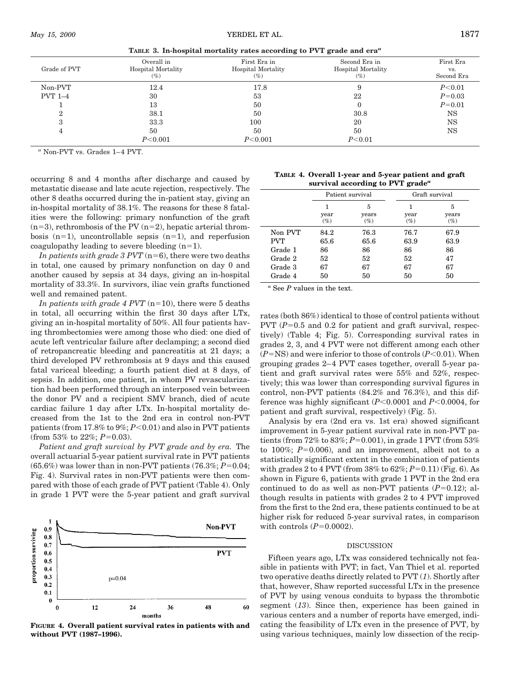| Grade of PVT   | Overall in<br>Hospital Mortality<br>$(\%)$ | First Era in<br><b>Hospital Mortality</b><br>$(\%)$ | Second Era in<br><b>Hospital Mortality</b><br>$(\%)$ | First Era<br>VS.<br>Second Era |
|----------------|--------------------------------------------|-----------------------------------------------------|------------------------------------------------------|--------------------------------|
| Non-PVT        | 12.4                                       | 17.8                                                |                                                      | P< 0.01                        |
| <b>PVT 1-4</b> | 30                                         | 53                                                  | 22                                                   | $P = 0.03$                     |
|                | 13                                         | 50                                                  |                                                      | $P = 0.01$                     |
| $\Omega$       | 38.1                                       | 50                                                  | 30.8                                                 | <b>NS</b>                      |
| 3              | 33.3                                       | 100                                                 | 20                                                   | NS                             |
| $\overline{4}$ | 50                                         | 50                                                  | 50                                                   | NS                             |
|                | P<0.001                                    | P<0.001                                             | P < 0.01                                             |                                |
|                |                                            |                                                     |                                                      |                                |

**TABLE 3. In-hospital mortality rates according to PVT grade and era***<sup>a</sup>*

*<sup>a</sup>* Non-PVT vs. Grades 1–4 PVT.

occurring 8 and 4 months after discharge and caused by metastatic disease and late acute rejection, respectively. The other 8 deaths occurred during the in-patient stay, giving an in-hospital mortality of 38.1%. The reasons for these 8 fatalities were the following: primary nonfunction of the graft  $(n=3)$ , rethrombosis of the PV  $(n=2)$ , hepatic arterial thrombosis  $(n=1)$ , uncontrollable sepsis  $(n=1)$ , and reperfusion coagulopathy leading to severe bleeding  $(n=1)$ .

*In patients with grade 3 PVT* ( $n=6$ ), there were two deaths in total, one caused by primary nonfunction on day 0 and another caused by sepsis at 34 days, giving an in-hospital mortality of 33.3%. In survivors, iliac vein grafts functioned well and remained patent.

*In patients with grade 4 PVT* ( $n=10$ ), there were 5 deaths in total, all occurring within the first 30 days after LTx, giving an in-hospital mortality of 50%. All four patients having thrombectomies were among those who died: one died of acute left ventricular failure after declamping; a second died of retropancreatic bleeding and pancreatitis at 21 days; a third developed PV rethrombosis at 9 days and this caused fatal variceal bleeding; a fourth patient died at 8 days, of sepsis. In addition, one patient, in whom PV revascularization had been performed through an interposed vein between the donor PV and a recipient SMV branch, died of acute cardiac failure 1 day after LTx. In-hospital mortality decreased from the 1st to the 2nd era in control non-PVT patients (from  $17.8\%$  to  $9\%; P<0.01$ ) and also in PVT patients (from 53% to  $22\%; P=0.03$ ).

*Patient and graft survival by PVT grade and by era.* The overall actuarial 5-year patient survival rate in PVT patients  $(65.6\%)$  was lower than in non-PVT patients  $(76.3\%; P=0.04;$ Fig. 4). Survival rates in non-PVT patients were then compared with those of each grade of PVT patient (Table 4). Only in grade 1 PVT were the 5-year patient and graft survival



**FIGURE 4. Overall patient survival rates in patients with and without PVT (1987–1996).**

| TABLE 4. Overall 1-year and 5-year patient and graft      |
|-----------------------------------------------------------|
| survival according to PVT grade <sup><math>a</math></sup> |

|            |             | Patient survival     | Graft survival |                      |  |
|------------|-------------|----------------------|----------------|----------------------|--|
|            | year<br>(%) | 5<br>years<br>$(\%)$ | year<br>$(\%)$ | 5<br>years<br>$(\%)$ |  |
| Non PVT    | 84.2        | 76.3                 | 76.7           | 67.9                 |  |
| <b>PVT</b> | 65.6        | 65.6                 | 63.9           | 63.9                 |  |
| Grade 1    | 86          | 86                   | 86             | 86                   |  |
| Grade 2    | 52          | 52                   | 52             | 47                   |  |
| Grade 3    | 67          | 67                   | 67             | 67                   |  |
| Grade 4    | 50          | 50                   | 50             | 50                   |  |
|            |             |                      |                |                      |  |

*<sup>a</sup>* See *P* values in the text.

rates (both 86%) identical to those of control patients without PVT  $(P=0.5$  and 0.2 for patient and graft survival, respectively) (Table 4; Fig. 5). Corresponding survival rates in grades 2, 3, and 4 PVT were not different among each other  $(P=NS)$  and were inferior to those of controls  $(P<0.01)$ . When grouping grades 2–4 PVT cases together, overall 5-year patient and graft survival rates were 55% and 52%, respectively; this was lower than corresponding survival figures in control, non-PVT patients (84.2% and 76.3%), and this difference was highly significant  $(P<0.0001$  and  $P<0.0004$ , for patient and graft survival, respectively) (Fig. 5).

Analysis by era (2nd era vs. 1st era) showed significant improvement in 5-year patient survival rate in non-PVT patients (from  $72\%$  to  $83\%; P=0.001$ ), in grade 1 PVT (from 53%) to  $100\%$ ;  $P=0.006$ ), and an improvement, albeit not to a statistically significant extent in the combination of patients with grades 2 to 4 PVT (from  $38\%$  to  $62\%; P=0.11)$  (Fig. 6). As shown in Figure 6, patients with grade 1 PVT in the 2nd era continued to do as well as non-PVT patients  $(P=0.12)$ ; although results in patients with grades 2 to 4 PVT improved from the first to the 2nd era, these patients continued to be at higher risk for reduced 5-year survival rates, in comparison with controls  $(P=0.0002)$ .

#### DISCUSSION

Fifteen years ago, LTx was considered technically not feasible in patients with PVT; in fact, Van Thiel et al. reported two operative deaths directly related to PVT (*1*). Shortly after that, however, Shaw reported successful LTx in the presence of PVT by using venous conduits to bypass the thrombotic segment (*13*). Since then, experience has been gained in various centers and a number of reports have emerged, indicating the feasibility of LTx even in the presence of PVT, by using various techniques, mainly low dissection of the recip-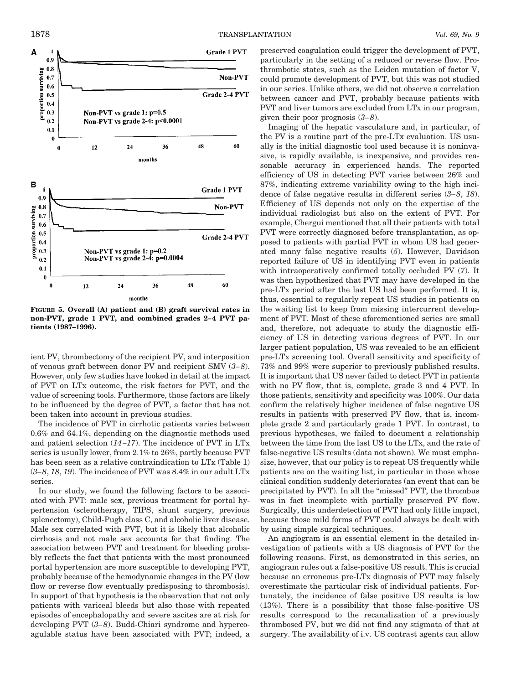

**FIGURE 5. Overall (A) patient and (B) graft survival rates in non-PVT, grade 1 PVT, and combined grades 2–4 PVT patients (1987–1996).**

ient PV, thrombectomy of the recipient PV, and interposition of venous graft between donor PV and recipient SMV (*3–8*). However, only few studies have looked in detail at the impact of PVT on LTx outcome, the risk factors for PVT, and the value of screening tools. Furthermore, those factors are likely to be influenced by the degree of PVT, a factor that has not been taken into account in previous studies.

The incidence of PVT in cirrhotic patients varies between 0.6% and 64.1%, depending on the diagnostic methods used and patient selection (*14–17*). The incidence of PVT in LTx series is usually lower, from 2.1% to 26%, partly because PVT has been seen as a relative contraindication to LTx (Table 1) (*3–8*, *18*, *19*). The incidence of PVT was 8.4% in our adult LTx series.

In our study, we found the following factors to be associated with PVT: male sex, previous treatment for portal hypertension (sclerotherapy, TIPS, shunt surgery, previous splenectomy), Child-Pugh class C, and alcoholic liver disease. Male sex correlated with PVT, but it is likely that alcoholic cirrhosis and not male sex accounts for that finding. The association between PVT and treatment for bleeding probably reflects the fact that patients with the most pronounced portal hypertension are more susceptible to developing PVT, probably because of the hemodynamic changes in the PV (low flow or reverse flow eventually predisposing to thrombosis). In support of that hypothesis is the observation that not only patients with variceal bleeds but also those with repeated episodes of encephalopathy and severe ascites are at risk for developing PVT (*3–8*). Budd-Chiari syndrome and hypercoagulable status have been associated with PVT; indeed, a

preserved coagulation could trigger the development of PVT, particularly in the setting of a reduced or reverse flow. Prothrombotic states, such as the Leiden mutation of factor V, could promote development of PVT, but this was not studied in our series. Unlike others, we did not observe a correlation between cancer and PVT, probably because patients with PVT and liver tumors are excluded from LTx in our program, given their poor prognosis (*3–8*).

Imaging of the hepatic vasculature and, in particular, of the PV is a routine part of the pre-LTx evaluation. US usually is the initial diagnostic tool used because it is noninvasive, is rapidly available, is inexpensive, and provides reasonable accuracy in experienced hands. The reported efficiency of US in detecting PVT varies between 26% and 87%, indicating extreme variability owing to the high incidence of false negative results in different series (*3–8*, *18*). Efficiency of US depends not only on the expertise of the individual radiologist but also on the extent of PVT. For example, Chergui mentioned that all their patients with total PVT were correctly diagnosed before transplantation, as opposed to patients with partial PVT in whom US had generated many false negative results (*5*). However, Davidson reported failure of US in identifying PVT even in patients with intraoperatively confirmed totally occluded PV (*7*). It was then hypothesized that PVT may have developed in the pre-LTx period after the last US had been performed. It is, thus, essential to regularly repeat US studies in patients on the waiting list to keep from missing intercurrent development of PVT. Most of these aforementioned series are small and, therefore, not adequate to study the diagnostic efficiency of US in detecting various degrees of PVT. In our larger patient population, US was revealed to be an efficient pre-LTx screening tool. Overall sensitivity and specificity of 73% and 99% were superior to previously published results. It is important that US never failed to detect PVT in patients with no PV flow, that is, complete, grade 3 and 4 PVT. In those patients, sensitivity and specificity was 100%. Our data confirm the relatively higher incidence of false negative US results in patients with preserved PV flow, that is, incomplete grade 2 and particularly grade 1 PVT. In contrast, to previous hypotheses, we failed to document a relationship between the time from the last US to the LTx, and the rate of false-negative US results (data not shown). We must emphasize, however, that our policy is to repeat US frequently while patients are on the waiting list, in particular in those whose clinical condition suddenly deteriorates (an event that can be precipitated by PVT). In all the "missed" PVT, the thrombus was in fact incomplete with partially preserved PV flow. Surgically, this underdetection of PVT had only little impact, because those mild forms of PVT could always be dealt with by using simple surgical techniques.

An angiogram is an essential element in the detailed investigation of patients with a US diagnosis of PVT for the following reasons. First, as demonstrated in this series, an angiogram rules out a false-positive US result. This is crucial because an erroneous pre-LTx diagnosis of PVT may falsely overestimate the particular risk of individual patients. Fortunately, the incidence of false positive US results is low (13%). There is a possibility that those false-positive US results correspond to the recanalization of a previously thrombosed PV, but we did not find any stigmata of that at surgery. The availability of i.v. US contrast agents can allow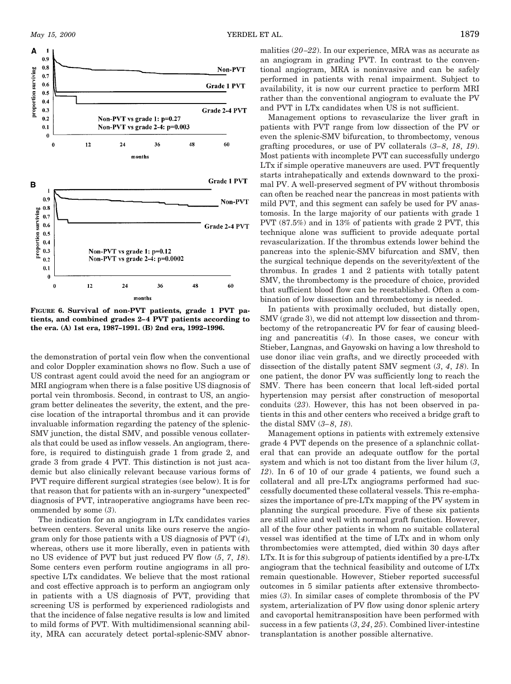

**FIGURE 6. Survival of non-PVT patients, grade 1 PVT patients, and combined grades 2–4 PVT patients according to the era. (A) 1st era, 1987–1991. (B) 2nd era, 1992–1996.**

the demonstration of portal vein flow when the conventional and color Doppler examination shows no flow. Such a use of US contrast agent could avoid the need for an angiogram or MRI angiogram when there is a false positive US diagnosis of portal vein thrombosis. Second, in contrast to US, an angiogram better delineates the severity, the extent, and the precise location of the intraportal thrombus and it can provide invaluable information regarding the patency of the splenic-SMV junction, the distal SMV, and possible venous collaterals that could be used as inflow vessels. An angiogram, therefore, is required to distinguish grade 1 from grade 2, and grade 3 from grade 4 PVT. This distinction is not just academic but also clinically relevant because various forms of PVT require different surgical strategies (see below). It is for that reason that for patients with an in-surgery "unexpected" diagnosis of PVT, intraoperative angiograms have been recommended by some (*3*).

The indication for an angiogram in LTx candidates varies between centers. Several units like ours reserve the angiogram only for those patients with a US diagnosis of PVT (*4*), whereas, others use it more liberally, even in patients with no US evidence of PVT but just reduced PV flow (*5*, *7*, *18*). Some centers even perform routine angiograms in all prospective LTx candidates. We believe that the most rational and cost effective approach is to perform an angiogram only in patients with a US diagnosis of PVT, providing that screening US is performed by experienced radiologists and that the incidence of false negative results is low and limited to mild forms of PVT. With multidimensional scanning ability, MRA can accurately detect portal-splenic-SMV abnormalities (*20–22*). In our experience, MRA was as accurate as an angiogram in grading PVT. In contrast to the conventional angiogram, MRA is noninvasive and can be safely performed in patients with renal impairment. Subject to availability, it is now our current practice to perform MRI rather than the conventional angiogram to evaluate the PV and PVT in LTx candidates when US is not sufficient.

Management options to revascularize the liver graft in patients with PVT range from low dissection of the PV or even the splenic-SMV bifurcation, to thrombectomy, venous grafting procedures, or use of PV collaterals (*3–8*, *18*, *19*). Most patients with incomplete PVT can successfully undergo LTx if simple operative maneuvers are used. PVT frequently starts intrahepatically and extends downward to the proximal PV. A well-preserved segment of PV without thrombosis can often be reached near the pancreas in most patients with mild PVT, and this segment can safely be used for PV anastomosis. In the large majority of our patients with grade 1 PVT (87.5%) and in 13% of patients with grade 2 PVT, this technique alone was sufficient to provide adequate portal revascularization. If the thrombus extends lower behind the pancreas into the splenic-SMV bifurcation and SMV, then the surgical technique depends on the severity/extent of the thrombus. In grades 1 and 2 patients with totally patent SMV, the thrombectomy is the procedure of choice, provided that sufficient blood flow can be reestablished. Often a combination of low dissection and thrombectomy is needed.

In patients with proximally occluded, but distally open, SMV (grade 3), we did not attempt low dissection and thrombectomy of the retropancreatic PV for fear of causing bleeding and pancreatitis (*4*). In those cases, we concur with Stieber, Langnas, and Gayowski on having a low threshold to use donor iliac vein grafts, and we directly proceeded with dissection of the distally patent SMV segment (*3*, *4*, *18*). In one patient, the donor PV was sufficiently long to reach the SMV. There has been concern that local left-sided portal hypertension may persist after construction of mesoportal conduits (*23*). However, this has not been observed in patients in this and other centers who received a bridge graft to the distal SMV (*3–8*, *18*).

Management options in patients with extremely extensive grade 4 PVT depends on the presence of a splanchnic collateral that can provide an adequate outflow for the portal system and which is not too distant from the liver hilum (*3*, *12*). In 6 of 10 of our grade 4 patients, we found such a collateral and all pre-LTx angiograms performed had successfully documented these collateral vessels. This re-emphasizes the importance of pre-LTx mapping of the PV system in planning the surgical procedure. Five of these six patients are still alive and well with normal graft function. However, all of the four other patients in whom no suitable collateral vessel was identified at the time of LTx and in whom only thrombectomies were attempted, died within 30 days after LTx. It is for this subgroup of patients identified by a pre-LTx angiogram that the technical feasibility and outcome of LTx remain questionable. However, Stieber reported successful outcomes in 5 similar patients after extensive thrombectomies (*3*). In similar cases of complete thrombosis of the PV system, arterialization of PV flow using donor splenic artery and cavoportal hemitransposition have been performed with success in a few patients (*3*, *24*, *25*). Combined liver-intestine transplantation is another possible alternative.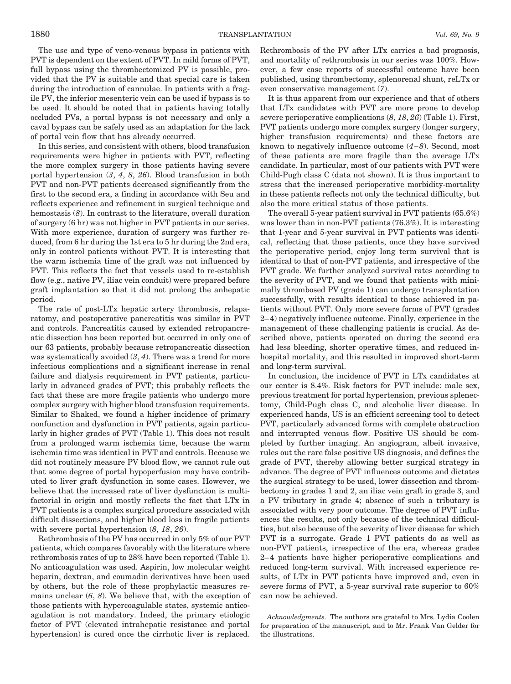The use and type of veno-venous bypass in patients with PVT is dependent on the extent of PVT. In mild forms of PVT, full bypass using the thrombectomized PV is possible, provided that the PV is suitable and that special care is taken during the introduction of cannulae. In patients with a fragile PV, the inferior mesenteric vein can be used if bypass is to be used. It should be noted that in patients having totally occluded PVs, a portal bypass is not necessary and only a caval bypass can be safely used as an adaptation for the lack of portal vein flow that has already occurred.

In this series, and consistent with others, blood transfusion requirements were higher in patients with PVT, reflecting the more complex surgery in those patients having severe portal hypertension (*3*, *4*, *8*, *26*). Blood transfusion in both PVT and non-PVT patients decreased significantly from the first to the second era, a finding in accordance with Seu and reflects experience and refinement in surgical technique and hemostasis (*8*). In contrast to the literature, overall duration of surgery (6 hr) was not higher in PVT patients in our series. With more experience, duration of surgery was further reduced, from 6 hr during the 1st era to 5 hr during the 2nd era, only in control patients without PVT. It is interesting that the warm ischemia time of the graft was not influenced by PVT. This reflects the fact that vessels used to re-establish flow (e.g., native PV, iliac vein conduit) were prepared before graft implantation so that it did not prolong the anhepatic period.

The rate of post-LTx hepatic artery thrombosis, relaparatomy, and postoperative pancreatitis was similar in PVT and controls. Pancreatitis caused by extended retropancreatic dissection has been reported but occurred in only one of our 63 patients, probably because retropancreatic dissection was systematically avoided (*3*, *4*). There was a trend for more infectious complications and a significant increase in renal failure and dialysis requirement in PVT patients, particularly in advanced grades of PVT; this probably reflects the fact that these are more fragile patients who undergo more complex surgery with higher blood transfusion requirements. Similar to Shaked, we found a higher incidence of primary nonfunction and dysfunction in PVT patients, again particularly in higher grades of PVT (Table 1). This does not result from a prolonged warm ischemia time, because the warm ischemia time was identical in PVT and controls. Because we did not routinely measure PV blood flow, we cannot rule out that some degree of portal hypoperfusion may have contributed to liver graft dysfunction in some cases. However, we believe that the increased rate of liver dysfunction is multifactorial in origin and mostly reflects the fact that LTx in PVT patients is a complex surgical procedure associated with difficult dissections, and higher blood loss in fragile patients with severe portal hypertension (*8*, *18*, *26*).

Rethrombosis of the PV has occurred in only 5% of our PVT patients, which compares favorably with the literature where rethrombosis rates of up to 28% have been reported (Table 1). No anticoagulation was used. Aspirin, low molecular weight heparin, dextran, and coumadin derivatives have been used by others, but the role of these prophylactic measures remains unclear (*6*, *8*). We believe that, with the exception of those patients with hypercoagulable states, systemic anticoagulation is not mandatory. Indeed, the primary etiologic factor of PVT (elevated intrahepatic resistance and portal hypertension) is cured once the cirrhotic liver is replaced. Rethrombosis of the PV after LTx carries a bad prognosis, and mortality of rethrombosis in our series was 100%. However, a few case reports of successful outcome have been published, using thrombectomy, splenorenal shunt, reLTx or even conservative management (*7*).

It is thus apparent from our experience and that of others that LTx candidates with PVT are more prone to develop severe perioperative complications (*8*, *18*, *26*) (Table 1). First, PVT patients undergo more complex surgery (longer surgery, higher transfusion requirements) and these factors are known to negatively influence outcome (*4–8*). Second, most of these patients are more fragile than the average LTx candidate. In particular, most of our patients with PVT were Child-Pugh class C (data not shown). It is thus important to stress that the increased perioperative morbidity-mortality in these patients reflects not only the technical difficulty, but also the more critical status of those patients.

The overall 5-year patient survival in PVT patients (65.6%) was lower than in non-PVT patients (76.3%). It is interesting that 1-year and 5-year survival in PVT patients was identical, reflecting that those patients, once they have survived the perioperative period, enjoy long term survival that is identical to that of non-PVT patients, and irrespective of the PVT grade. We further analyzed survival rates according to the severity of PVT, and we found that patients with minimally thrombosed PV (grade 1) can undergo transplantation successfully, with results identical to those achieved in patients without PVT. Only more severe forms of PVT (grades 2–4) negatively influence outcome. Finally, experience in the management of these challenging patients is crucial. As described above, patients operated on during the second era had less bleeding, shorter operative times, and reduced inhospital mortality, and this resulted in improved short-term and long-term survival.

In conclusion, the incidence of PVT in LTx candidates at our center is 8.4%. Risk factors for PVT include: male sex, previous treatment for portal hypertension, previous splenectomy, Child-Pugh class C, and alcoholic liver disease. In experienced hands, US is an efficient screening tool to detect PVT, particularly advanced forms with complete obstruction and interrupted venous flow. Positive US should be completed by further imaging. An angiogram, albeit invasive, rules out the rare false positive US diagnosis, and defines the grade of PVT, thereby allowing better surgical strategy in advance. The degree of PVT influences outcome and dictates the surgical strategy to be used, lower dissection and thrombectomy in grades 1 and 2, an iliac vein graft in grade 3, and a PV tributary in grade 4; absence of such a tributary is associated with very poor outcome. The degree of PVT influences the results, not only because of the technical difficulties, but also because of the severity of liver disease for which PVT is a surrogate. Grade 1 PVT patients do as well as non-PVT patients, irrespective of the era, whereas grades 2–4 patients have higher perioperative complications and reduced long-term survival. With increased experience results, of LTx in PVT patients have improved and, even in severe forms of PVT, a 5-year survival rate superior to 60% can now be achieved.

*Acknowledgments.* The authors are grateful to Mrs. Lydia Coolen for preparation of the manuscript, and to Mr. Frank Van Gelder for the illustrations.